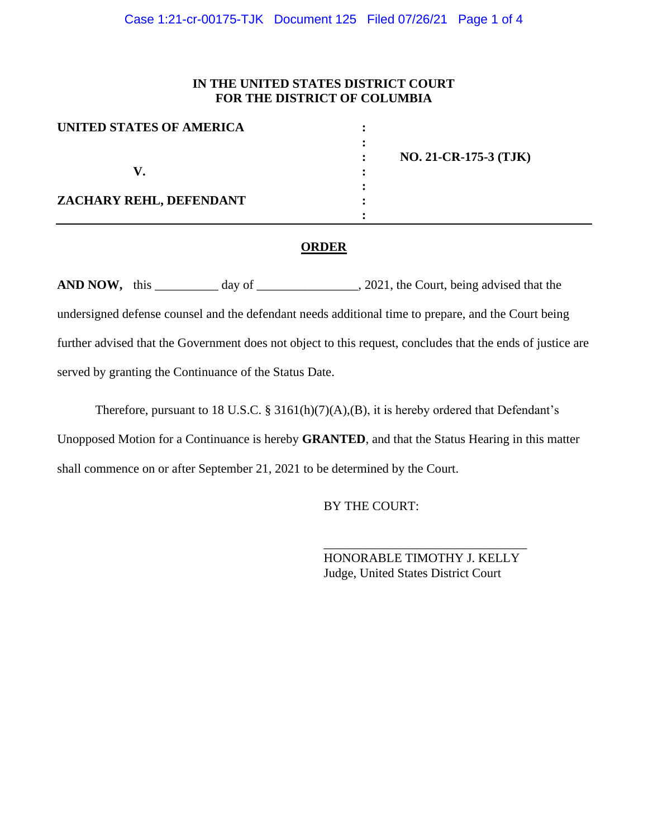# **IN THE UNITED STATES DISTRICT COURT FOR THE DISTRICT OF COLUMBIA**

| UNITED STATES OF AMERICA |                       |
|--------------------------|-----------------------|
|                          | NO. 21-CR-175-3 (TJK) |
|                          |                       |
|                          |                       |
| ZACHARY REHL, DEFENDANT  |                       |
|                          |                       |

# **ORDER**

AND NOW, this \_\_\_\_\_\_\_\_\_ day of \_\_\_\_\_\_\_\_\_\_\_\_\_, 2021, the Court, being advised that the undersigned defense counsel and the defendant needs additional time to prepare, and the Court being further advised that the Government does not object to this request, concludes that the ends of justice are served by granting the Continuance of the Status Date.

Therefore, pursuant to 18 U.S.C. § 3161(h)(7)(A),(B), it is hereby ordered that Defendant's Unopposed Motion for a Continuance is hereby **GRANTED**, and that the Status Hearing in this matter shall commence on or after September 21, 2021 to be determined by the Court.

BY THE COURT:

HONORABLE TIMOTHY J. KELLY Judge, United States District Court

\_\_\_\_\_\_\_\_\_\_\_\_\_\_\_\_\_\_\_\_\_\_\_\_\_\_\_\_\_\_\_\_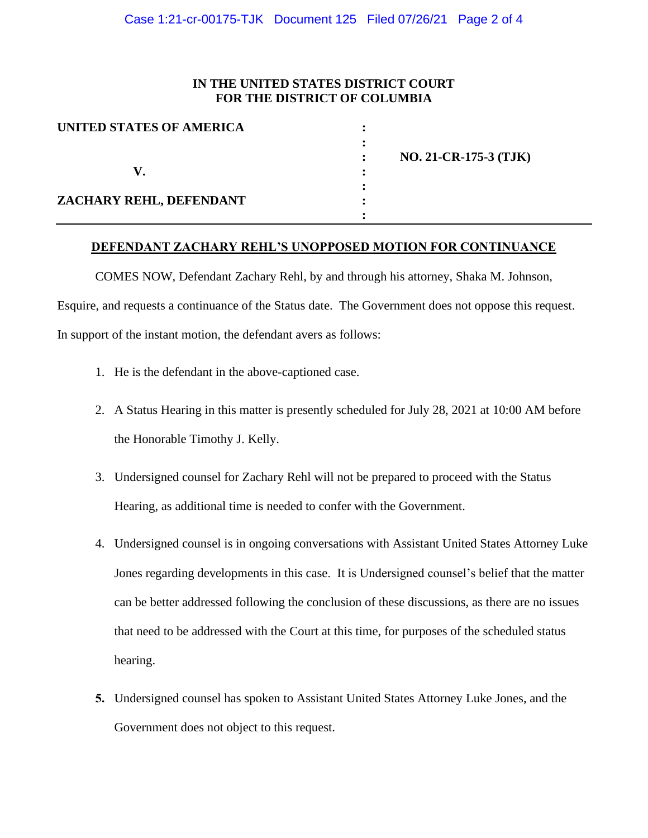# **IN THE UNITED STATES DISTRICT COURT FOR THE DISTRICT OF COLUMBIA**

| UNITED STATES OF AMERICA |                       |
|--------------------------|-----------------------|
|                          | NO. 21-CR-175-3 (TJK) |
|                          |                       |
| ZACHARY REHL, DEFENDANT  |                       |
|                          |                       |

#### **DEFENDANT ZACHARY REHL'S UNOPPOSED MOTION FOR CONTINUANCE**

COMES NOW, Defendant Zachary Rehl, by and through his attorney, Shaka M. Johnson, Esquire, and requests a continuance of the Status date. The Government does not oppose this request. In support of the instant motion, the defendant avers as follows:

- 1. He is the defendant in the above-captioned case.
- 2. A Status Hearing in this matter is presently scheduled for July 28, 2021 at 10:00 AM before the Honorable Timothy J. Kelly.
- 3. Undersigned counsel for Zachary Rehl will not be prepared to proceed with the Status Hearing, as additional time is needed to confer with the Government.
- 4. Undersigned counsel is in ongoing conversations with Assistant United States Attorney Luke Jones regarding developments in this case. It is Undersigned counsel's belief that the matter can be better addressed following the conclusion of these discussions, as there are no issues that need to be addressed with the Court at this time, for purposes of the scheduled status hearing.
- **5.** Undersigned counsel has spoken to Assistant United States Attorney Luke Jones, and the Government does not object to this request.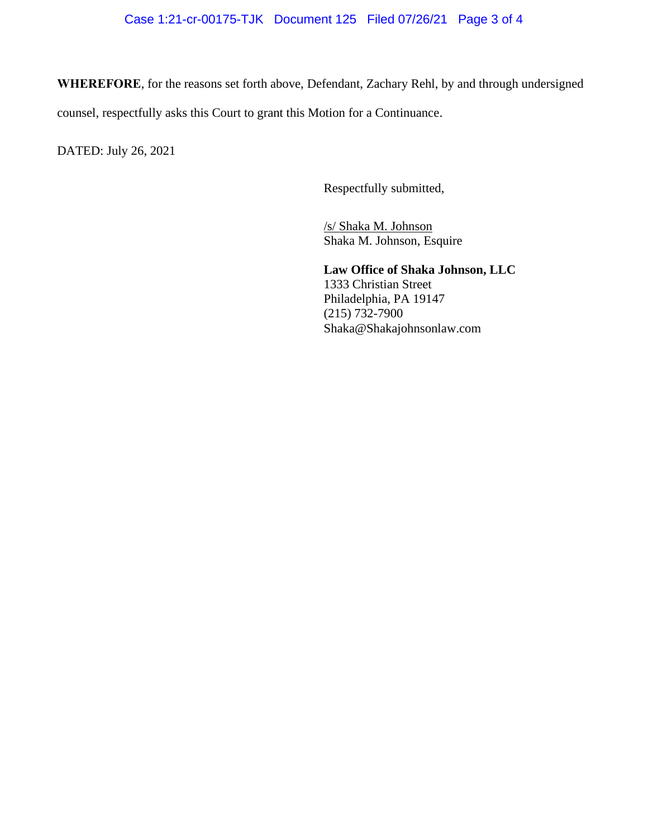**WHEREFORE**, for the reasons set forth above, Defendant, Zachary Rehl, by and through undersigned counsel, respectfully asks this Court to grant this Motion for a Continuance.

DATED: July 26, 2021

Respectfully submitted,

/s/ Shaka M. Johnson Shaka M. Johnson, Esquire

**Law Office of Shaka Johnson, LLC**

1333 Christian Street Philadelphia, PA 19147 (215) 732-7900 Shaka@Shakajohnsonlaw.com